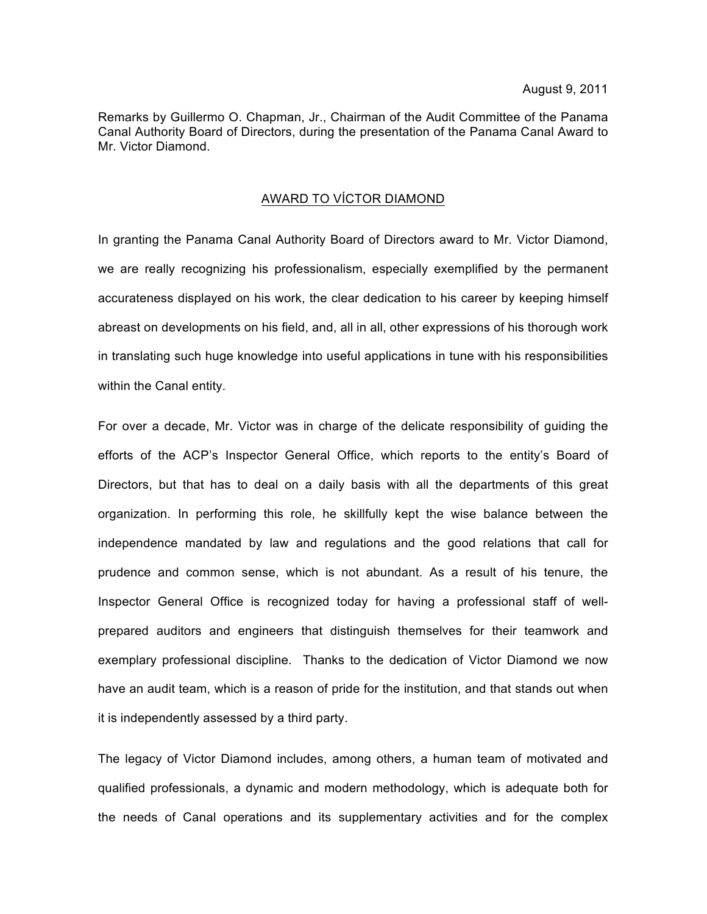Remarks by Guillermo O. Chapman, Jr., Chairman of the Audit Committee of the Panama Canal Authority Board of Directors, during the presentation of the Panama Canal Award to Mr. Victor Diamond.

## AWARD TO VÍCTOR DIAMOND

In granting the Panama Canal Authority Board of Directors award to Mr. Victor Diamond, we are really recognizing his professionalism, especially exemplified by the permanent accurateness displayed on his work, the clear dedication to his career by keeping himself abreast on developments on his field, and, all in all, other expressions of his thorough work in translating such huge knowledge into useful applications in tune with his responsibilities within the Canal entity.

For over a decade, Mr. Victor was in charge of the delicate responsibility of guiding the efforts of the ACP's Inspector General Office, which reports to the entity's Board of Directors, but that has to deal on a daily basis with all the departments of this great organization. In performing this role, he skillfully kept the wise balance between the independence mandated by law and regulations and the good relations that call for prudence and common sense, which is not abundant. As a result of his tenure, the Inspector General Office is recognized today for having a professional staff of wellprepared auditors and engineers that distinguish themselves for their teamwork and exemplary professional discipline. Thanks to the dedication of Victor Diamond we now have an audit team, which is a reason of pride for the institution, and that stands out when it is independently assessed by a third party.

The legacy of Victor Diamond includes, among others, a human team of motivated and qualified professionals, a dynamic and modern methodology, which is adequate both for the needs of Canal operations and its supplementary activities and for the complex